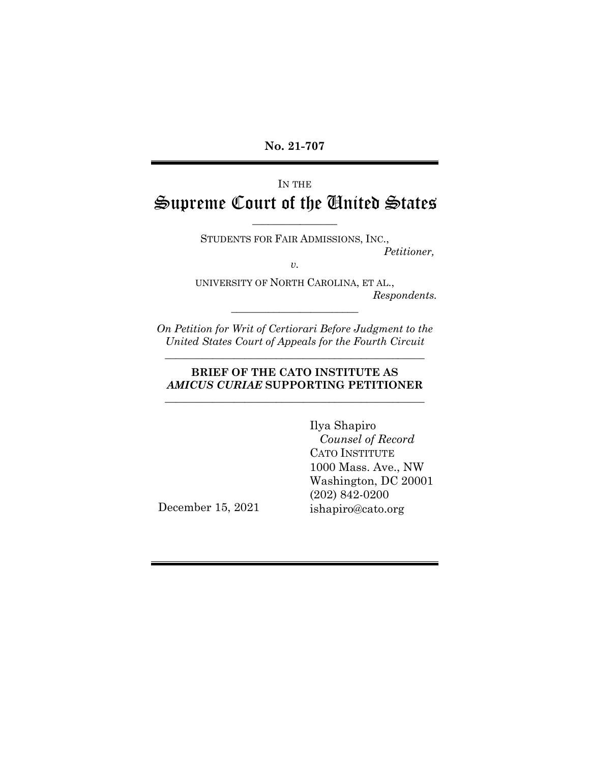**No. 21-707**

# IN THE Supreme Court of the United States

\_\_\_\_\_\_\_\_\_\_\_\_\_\_\_\_ STUDENTS FOR FAIR ADMISSIONS, INC.,

*Petitioner,*

*v.*

UNIVERSITY OF NORTH CAROLINA, ET AL., *Respondents.*

*On Petition for Writ of Certiorari Before Judgment to the United States Court of Appeals for the Fourth Circuit*

\_\_\_\_\_\_\_\_\_\_\_\_\_\_\_\_\_\_\_\_\_\_\_\_\_\_\_\_\_\_\_\_\_\_\_\_\_\_\_\_\_\_\_\_\_\_\_\_\_

\_\_\_\_\_\_\_\_\_\_\_\_\_\_\_\_\_\_\_\_\_\_\_\_

### **BRIEF OF THE CATO INSTITUTE AS**  *AMICUS CURIAE* **SUPPORTING PETITIONER** \_\_\_\_\_\_\_\_\_\_\_\_\_\_\_\_\_\_\_\_\_\_\_\_\_\_\_\_\_\_\_\_\_\_\_\_\_\_\_\_\_\_\_\_\_\_\_\_\_

Ilya Shapiro  *Counsel of Record* CATO INSTITUTE 1000 Mass. Ave., NW Washington, DC 20001 (202) 842-0200 ishapiro@cato.org

December 15, 2021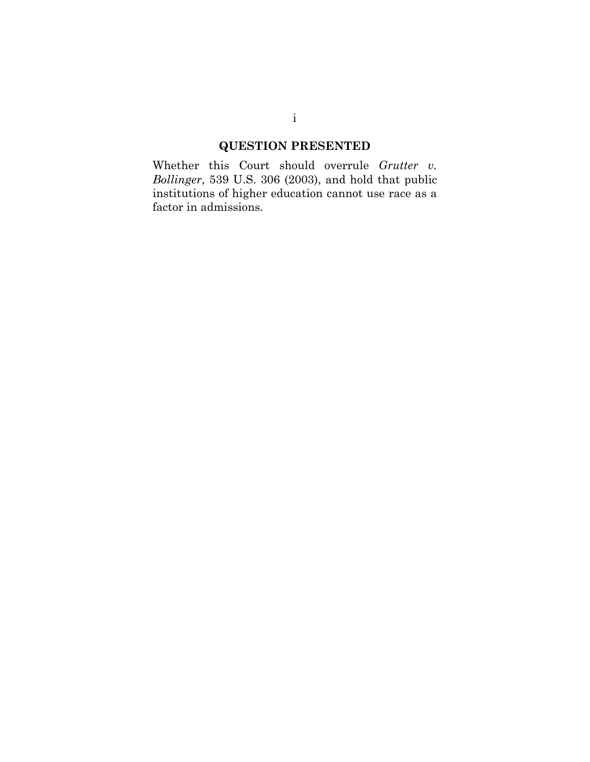## **QUESTION PRESENTED**

<span id="page-1-0"></span>Whether this Court should overrule *Grutter v. Bollinger*, 539 U.S. 306 (2003), and hold that public institutions of higher education cannot use race as a factor in admissions.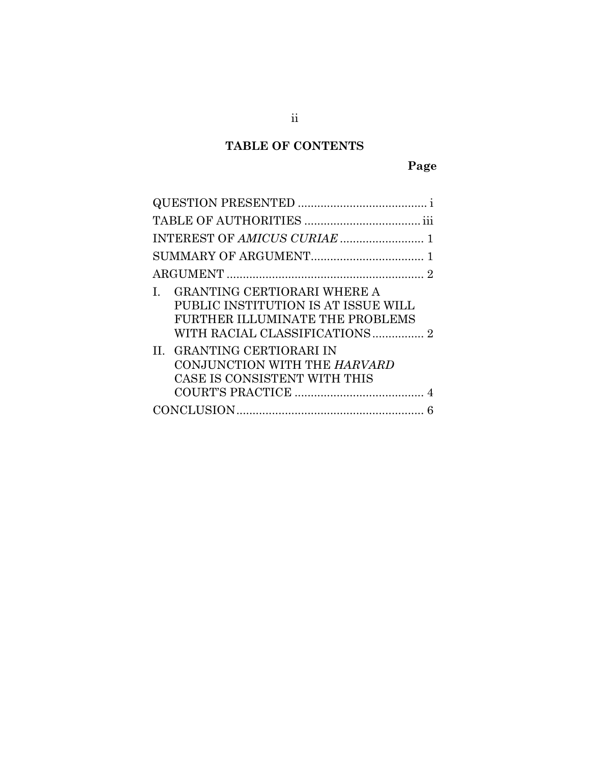# **TABLE OF CONTENTS**

# **Page**

| 2                                                                                                                                                                                                                   |
|---------------------------------------------------------------------------------------------------------------------------------------------------------------------------------------------------------------------|
| GRANTING CERTIORARI WHERE A<br>$\mathbf{L}$<br>PUBLIC INSTITUTION IS AT ISSUE WILL<br>FURTHER ILLUMINATE THE PROBLEMS<br>II. GRANTING CERTIORARI IN<br>CONJUNCTION WITH THE HARVARD<br>CASE IS CONSISTENT WITH THIS |
|                                                                                                                                                                                                                     |
|                                                                                                                                                                                                                     |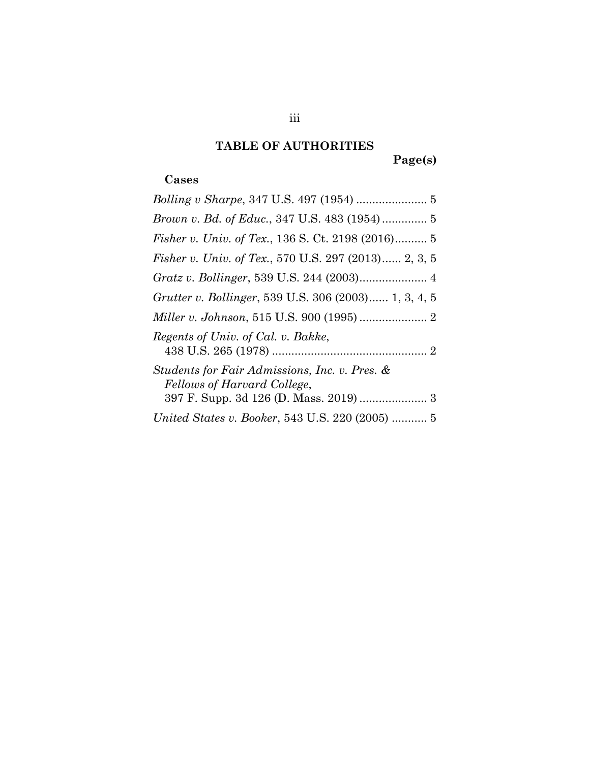## **TABLE OF AUTHORITIES**

**Page(s)**

## <span id="page-3-0"></span>**Cases**

<span id="page-3-1"></span>

| <i>Fisher v. Univ. of Tex., 136 S. Ct. 2198 (2016)</i> 5                     |
|------------------------------------------------------------------------------|
| <i>Fisher v. Univ. of Tex.</i> , 570 U.S. 297 (2013) 2, 3, 5                 |
|                                                                              |
| Grutter v. Bollinger, 539 U.S. 306 (2003) 1, 3, 4, 5                         |
|                                                                              |
| Regents of Univ. of Cal. v. Bakke,                                           |
| Students for Fair Admissions, Inc. v. Pres. &<br>Fellows of Harvard College, |
|                                                                              |
| United States v. Booker, 543 U.S. 220 (2005)  5                              |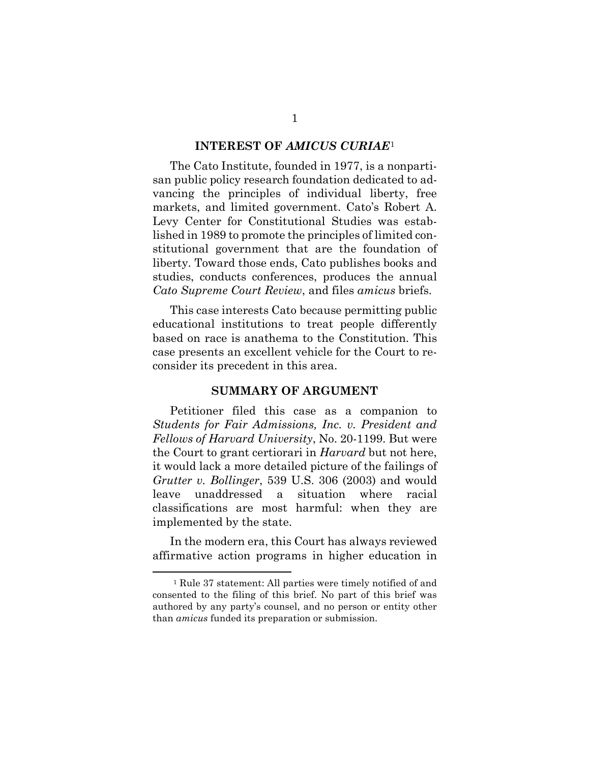#### **INTEREST OF** *AMICUS CURIAE*[1](#page-4-1)

The Cato Institute, founded in 1977, is a nonpartisan public policy research foundation dedicated to advancing the principles of individual liberty, free markets, and limited government. Cato's Robert A. Levy Center for Constitutional Studies was established in 1989 to promote the principles of limited constitutional government that are the foundation of liberty. Toward those ends, Cato publishes books and studies, conducts conferences, produces the annual *Cato Supreme Court Review*, and files *amicus* briefs.

This case interests Cato because permitting public educational institutions to treat people differently based on race is anathema to the Constitution. This case presents an excellent vehicle for the Court to reconsider its precedent in this area.

#### **SUMMARY OF ARGUMENT**

<span id="page-4-0"></span>Petitioner filed this case as a companion to *Students for Fair Admissions, Inc. v. President and Fellows of Harvard University*, No. 20-1199. But were the Court to grant certiorari in *Harvard* but not here, it would lack a more detailed picture of the failings of *Grutter v. Bollinger*, 539 U.S. 306 (2003) and would leave unaddressed a situation where racial classifications are most harmful: when they are implemented by the state.

In the modern era, this Court has always reviewed affirmative action programs in higher education in

<span id="page-4-1"></span><sup>1</sup> Rule 37 statement: All parties were timely notified of and consented to the filing of this brief. No part of this brief was authored by any party's counsel, and no person or entity other than *amicus* funded its preparation or submission.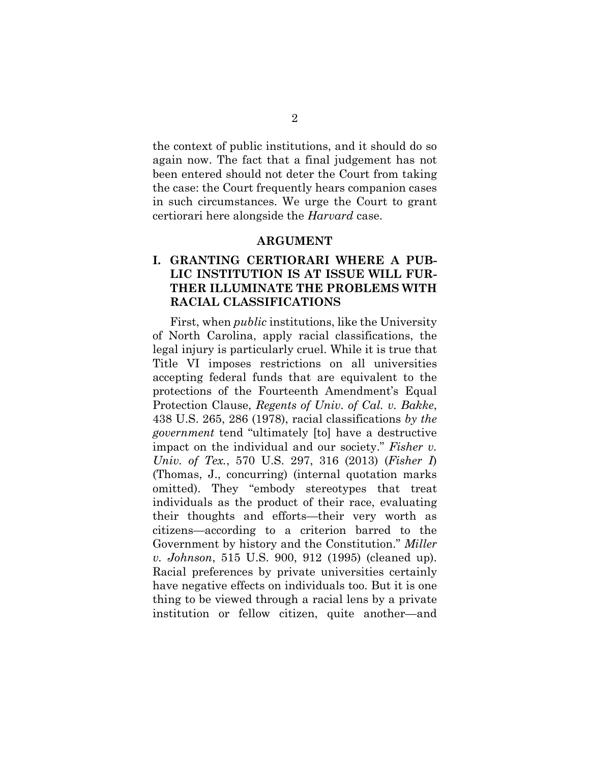the context of public institutions, and it should do so again now. The fact that a final judgement has not been entered should not deter the Court from taking the case: the Court frequently hears companion cases in such circumstances. We urge the Court to grant certiorari here alongside the *Harvard* case.

#### **ARGUMENT**

## <span id="page-5-0"></span>**I. GRANTING CERTIORARI WHERE A PUB-LIC INSTITUTION IS AT ISSUE WILL FUR-THER ILLUMINATE THE PROBLEMS WITH RACIAL CLASSIFICATIONS**

First, when *public* institutions, like the University of North Carolina, apply racial classifications, the legal injury is particularly cruel. While it is true that Title VI imposes restrictions on all universities accepting federal funds that are equivalent to the protections of the Fourteenth Amendment's Equal Protection Clause, *Regents of Univ. of Cal. v. Bakke*, 438 U.S. 265, 286 (1978), racial classifications *by the government* tend "ultimately [to] have a destructive impact on the individual and our society." *Fisher v. Univ. of Tex.*, 570 U.S. 297, 316 (2013) (*Fisher I*) (Thomas, J., concurring) (internal quotation marks omitted). They "embody stereotypes that treat individuals as the product of their race, evaluating their thoughts and efforts—their very worth as citizens—according to a criterion barred to the Government by history and the Constitution." *Miller v. Johnson*, 515 U.S. 900, 912 (1995) (cleaned up). Racial preferences by private universities certainly have negative effects on individuals too. But it is one thing to be viewed through a racial lens by a private institution or fellow citizen, quite another—and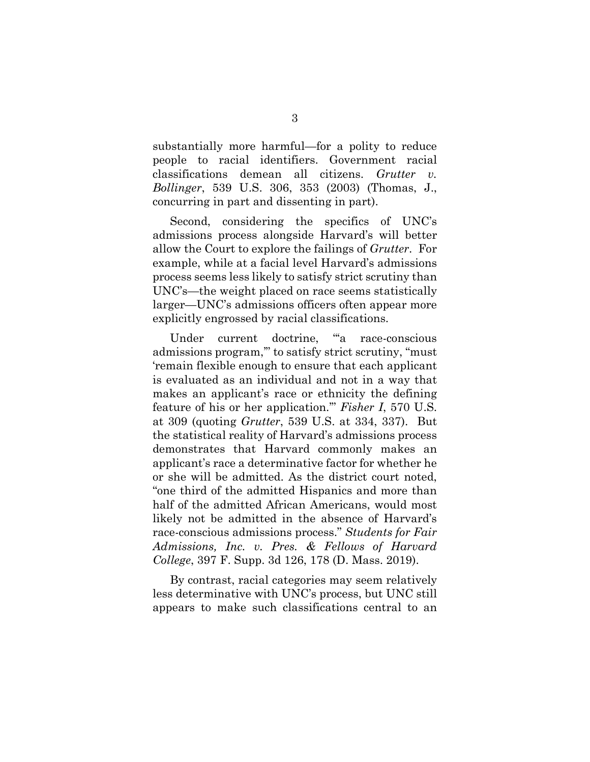substantially more harmful—for a polity to reduce people to racial identifiers. Government racial classifications demean all citizens. *Grutter v. Bollinger*, 539 U.S. 306, 353 (2003) (Thomas, J., concurring in part and dissenting in part).

Second, considering the specifics of UNC's admissions process alongside Harvard's will better allow the Court to explore the failings of *Grutter*. For example, while at a facial level Harvard's admissions process seems less likely to satisfy strict scrutiny than UNC's—the weight placed on race seems statistically larger—UNC's admissions officers often appear more explicitly engrossed by racial classifications.

Under current doctrine, "a race-conscious admissions program,'" to satisfy strict scrutiny, "must 'remain flexible enough to ensure that each applicant is evaluated as an individual and not in a way that makes an applicant's race or ethnicity the defining feature of his or her application.'" *Fisher I*, 570 U.S. at 309 (quoting *Grutter*, 539 U.S. at 334, 337). But the statistical reality of Harvard's admissions process demonstrates that Harvard commonly makes an applicant's race a determinative factor for whether he or she will be admitted. As the district court noted, "one third of the admitted Hispanics and more than half of the admitted African Americans, would most likely not be admitted in the absence of Harvard's race-conscious admissions process." *Students for Fair Admissions, Inc. v. Pres. & Fellows of Harvard College*, 397 F. Supp. 3d 126, 178 (D. Mass. 2019).

By contrast, racial categories may seem relatively less determinative with UNC's process, but UNC still appears to make such classifications central to an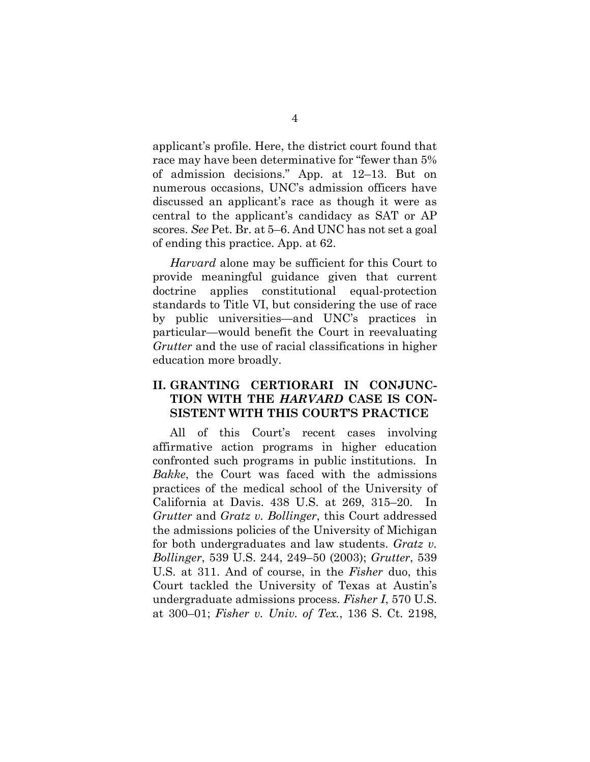applicant's profile. Here, the district court found that race may have been determinative for "fewer than 5% of admission decisions." App. at 12–13. But on numerous occasions, UNC's admission officers have discussed an applicant's race as though it were as central to the applicant's candidacy as SAT or AP scores. *See* Pet. Br. at 5–6. And UNC has not set a goal of ending this practice. App. at 62.

*Harvard* alone may be sufficient for this Court to provide meaningful guidance given that current doctrine applies constitutional equal-protection standards to Title VI, but considering the use of race by public universities—and UNC's practices in particular—would benefit the Court in reevaluating *Grutter* and the use of racial classifications in higher education more broadly.

### <span id="page-7-0"></span>**II. GRANTING CERTIORARI IN CONJUNC-TION WITH THE** *HARVARD* **CASE IS CON-SISTENT WITH THIS COURT'S PRACTICE**

All of this Court's recent cases involving affirmative action programs in higher education confronted such programs in public institutions. In *Bakke*, the Court was faced with the admissions practices of the medical school of the University of California at Davis. 438 U.S. at 269, 315–20. In *Grutter* and *Gratz v. Bollinger*, this Court addressed the admissions policies of the University of Michigan for both undergraduates and law students. *Gratz v. Bollinger*, 539 U.S. 244, 249–50 (2003); *Grutter*, 539 U.S. at 311. And of course, in the *Fisher* duo, this Court tackled the University of Texas at Austin's undergraduate admissions process. *Fisher I*, 570 U.S. at 300–01; *Fisher v. Univ. of Tex.*, 136 S. Ct. 2198,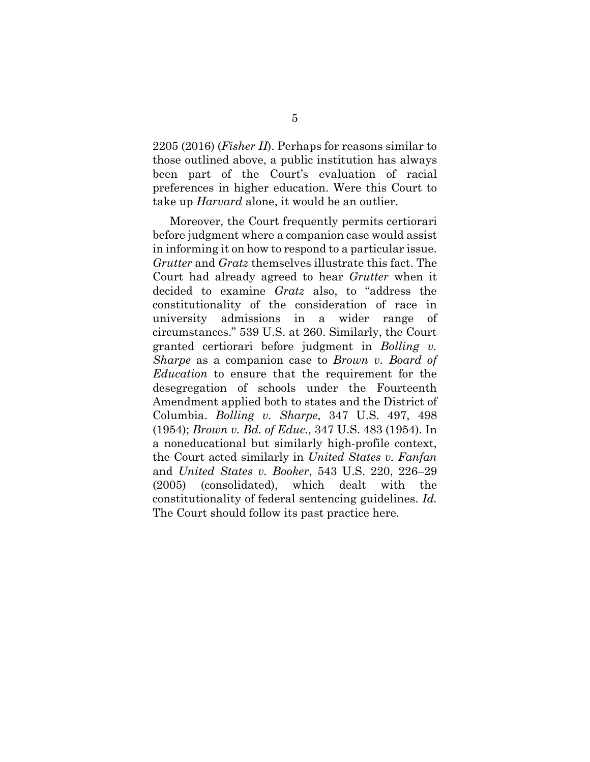2205 (2016) (*Fisher II*). Perhaps for reasons similar to those outlined above, a public institution has always been part of the Court's evaluation of racial preferences in higher education. Were this Court to take up *Harvard* alone, it would be an outlier.

<span id="page-8-0"></span>Moreover, the Court frequently permits certiorari before judgment where a companion case would assist in informing it on how to respond to a particular issue. *Grutter* and *Gratz* themselves illustrate this fact. The Court had already agreed to hear *Grutter* when it decided to examine *Gratz* also, to "address the constitutionality of the consideration of race in university admissions in a wider range of circumstances." 539 U.S. at 260. Similarly, the Court granted certiorari before judgment in *Bolling v. Sharpe* as a companion case to *Brown v. Board of Education* to ensure that the requirement for the desegregation of schools under the Fourteenth Amendment applied both to states and the District of Columbia. *Bolling v. Sharpe*, 347 U.S. 497, 498 (1954); *Brown v. Bd. of Educ.*, 347 U.S. 483 (1954). In a noneducational but similarly high-profile context, the Court acted similarly in *United States v. Fanfan* and *United States v. Booker*, 543 U.S. 220, 226–29 (2005) (consolidated), which dealt with the constitutionality of federal sentencing guidelines. *Id.* The Court should follow its past practice here.